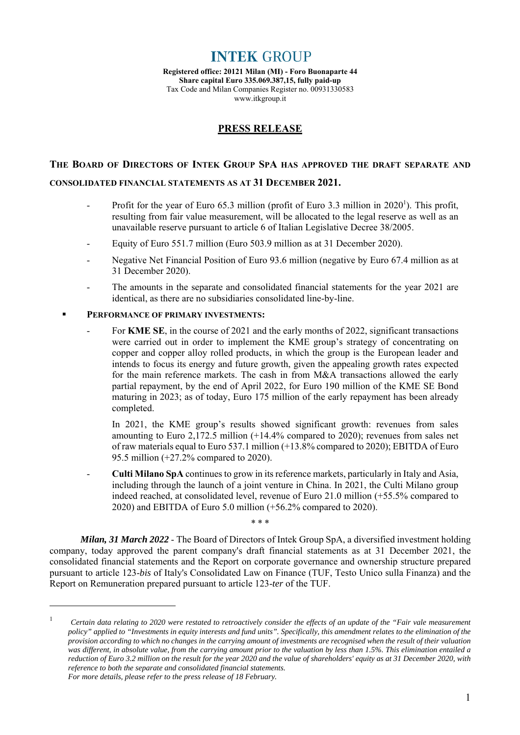**INTEK GROUP** 

**Registered office: 20121 Milan (MI) - Foro Buonaparte 44 Share capital Euro 335.069.387,15, fully paid-up**  Tax Code and Milan Companies Register no. 00931330583 www.itkgroup.it

### **PRESS RELEASE**

# **THE BOARD OF DIRECTORS OF INTEK GROUP SPA HAS APPROVED THE DRAFT SEPARATE AND**

#### **CONSOLIDATED FINANCIAL STATEMENTS AS AT 31 DECEMBER 2021.**

- Profit for the year of Euro 65.3 million (profit of Euro 3.3 million in  $2020<sup>1</sup>$ ). This profit, resulting from fair value measurement, will be allocated to the legal reserve as well as an unavailable reserve pursuant to article 6 of Italian Legislative Decree 38/2005.
- Equity of Euro 551.7 million (Euro 503.9 million as at 31 December 2020).
- Negative Net Financial Position of Euro 93.6 million (negative by Euro 67.4 million as at 31 December 2020).
- The amounts in the separate and consolidated financial statements for the year 2021 are identical, as there are no subsidiaries consolidated line-by-line.

#### **PERFORMANCE OF PRIMARY INVESTMENTS:**

 $\overline{a}$ 

For **KME SE**, in the course of 2021 and the early months of 2022, significant transactions were carried out in order to implement the KME group's strategy of concentrating on copper and copper alloy rolled products, in which the group is the European leader and intends to focus its energy and future growth, given the appealing growth rates expected for the main reference markets. The cash in from M&A transactions allowed the early partial repayment, by the end of April 2022, for Euro 190 million of the KME SE Bond maturing in 2023; as of today, Euro 175 million of the early repayment has been already completed.

In 2021, the KME group's results showed significant growth: revenues from sales amounting to Euro 2,172.5 million (+14.4% compared to 2020); revenues from sales net of raw materials equal to Euro 537.1 million (+13.8% compared to 2020); EBITDA of Euro 95.5 million (+27.2% compared to 2020).

- **Culti Milano SpA** continues to grow in its reference markets, particularly in Italy and Asia, including through the launch of a joint venture in China. In 2021, the Culti Milano group indeed reached, at consolidated level, revenue of Euro 21.0 million (+55.5% compared to 2020) and EBITDA of Euro 5.0 million (+56.2% compared to 2020).

*Milan, 31 March 2022* - The Board of Directors of Intek Group SpA, a diversified investment holding company, today approved the parent company's draft financial statements as at 31 December 2021, the consolidated financial statements and the Report on corporate governance and ownership structure prepared pursuant to article 123-*bis* of Italy's Consolidated Law on Finance (TUF, Testo Unico sulla Finanza) and the Report on Remuneration prepared pursuant to article 123-*ter* of the TUF.

\* \* \*

<sup>1</sup> *Certain data relating to 2020 were restated to retroactively consider the effects of an update of the "Fair vale measurement policy" applied to "Investments in equity interests and fund units". Specifically, this amendment relates to the elimination of the provision according to which no changes in the carrying amount of investments are recognised when the result of their valuation was different, in absolute value, from the carrying amount prior to the valuation by less than 1.5%. This elimination entailed a reduction of Euro 3.2 million on the result for the year 2020 and the value of shareholders' equity as at 31 December 2020, with reference to both the separate and consolidated financial statements. For more details, please refer to the press release of 18 February.*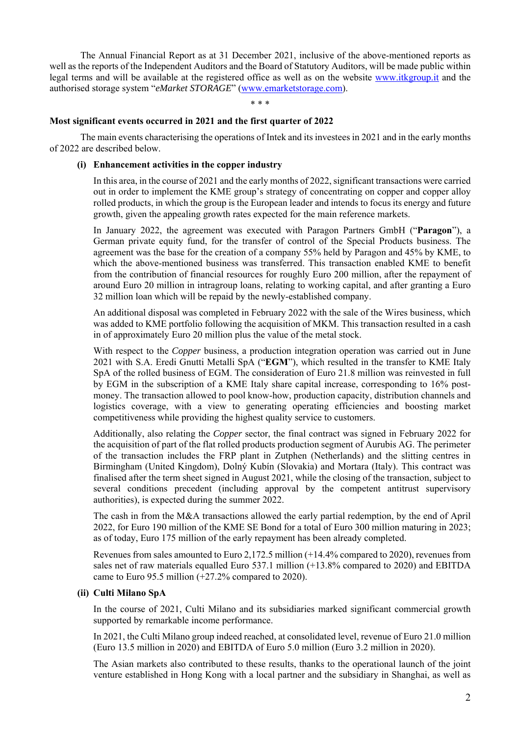The Annual Financial Report as at 31 December 2021, inclusive of the above-mentioned reports as well as the reports of the Independent Auditors and the Board of Statutory Auditors, will be made public within legal terms and will be available at the registered office as well as on the website www.itkgroup.it and the authorised storage system "*eMarket STORAGE*" (www.emarketstorage.com).

\* \* \*

#### **Most significant events occurred in 2021 and the first quarter of 2022**

The main events characterising the operations of Intek and its investees in 2021 and in the early months of 2022 are described below.

#### **(i) Enhancement activities in the copper industry**

In this area, in the course of 2021 and the early months of 2022, significant transactions were carried out in order to implement the KME group's strategy of concentrating on copper and copper alloy rolled products, in which the group is the European leader and intends to focus its energy and future growth, given the appealing growth rates expected for the main reference markets.

In January 2022, the agreement was executed with Paragon Partners GmbH ("**Paragon**"), a German private equity fund, for the transfer of control of the Special Products business. The agreement was the base for the creation of a company 55% held by Paragon and 45% by KME, to which the above-mentioned business was transferred. This transaction enabled KME to benefit from the contribution of financial resources for roughly Euro 200 million, after the repayment of around Euro 20 million in intragroup loans, relating to working capital, and after granting a Euro 32 million loan which will be repaid by the newly-established company.

An additional disposal was completed in February 2022 with the sale of the Wires business, which was added to KME portfolio following the acquisition of MKM. This transaction resulted in a cash in of approximately Euro 20 million plus the value of the metal stock.

With respect to the *Copper* business, a production integration operation was carried out in June 2021 with S.A. Eredi Gnutti Metalli SpA ("**EGM**"), which resulted in the transfer to KME Italy SpA of the rolled business of EGM. The consideration of Euro 21.8 million was reinvested in full by EGM in the subscription of a KME Italy share capital increase, corresponding to 16% postmoney. The transaction allowed to pool know-how, production capacity, distribution channels and logistics coverage, with a view to generating operating efficiencies and boosting market competitiveness while providing the highest quality service to customers.

Additionally, also relating the *Copper* sector, the final contract was signed in February 2022 for the acquisition of part of the flat rolled products production segment of Aurubis AG. The perimeter of the transaction includes the FRP plant in Zutphen (Netherlands) and the slitting centres in Birmingham (United Kingdom), Dolný Kubín (Slovakia) and Mortara (Italy). This contract was finalised after the term sheet signed in August 2021, while the closing of the transaction, subject to several conditions precedent (including approval by the competent antitrust supervisory authorities), is expected during the summer 2022.

The cash in from the M&A transactions allowed the early partial redemption, by the end of April 2022, for Euro 190 million of the KME SE Bond for a total of Euro 300 million maturing in 2023; as of today, Euro 175 million of the early repayment has been already completed.

Revenues from sales amounted to Euro 2,172.5 million (+14.4% compared to 2020), revenues from sales net of raw materials equalled Euro 537.1 million (+13.8% compared to 2020) and EBITDA came to Euro 95.5 million (+27.2% compared to 2020).

#### **(ii) Culti Milano SpA**

In the course of 2021, Culti Milano and its subsidiaries marked significant commercial growth supported by remarkable income performance.

In 2021, the Culti Milano group indeed reached, at consolidated level, revenue of Euro 21.0 million (Euro 13.5 million in 2020) and EBITDA of Euro 5.0 million (Euro 3.2 million in 2020).

The Asian markets also contributed to these results, thanks to the operational launch of the joint venture established in Hong Kong with a local partner and the subsidiary in Shanghai, as well as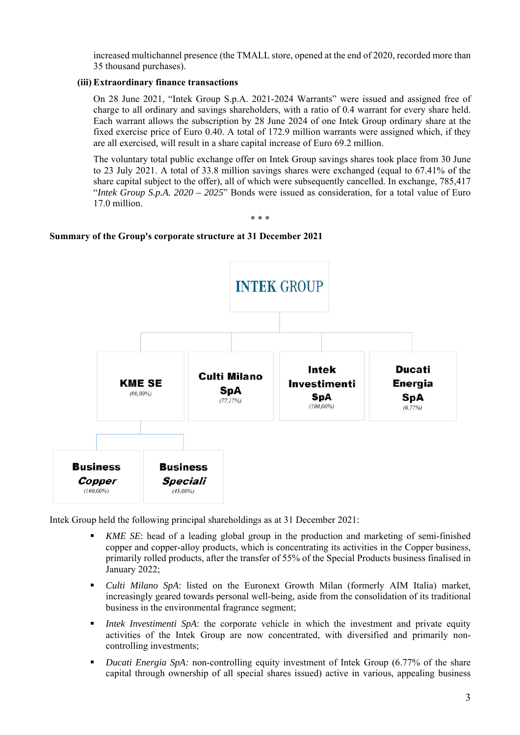increased multichannel presence (the TMALL store, opened at the end of 2020, recorded more than 35 thousand purchases).

#### **(iii) Extraordinary finance transactions**

On 28 June 2021, "Intek Group S.p.A. 2021-2024 Warrants" were issued and assigned free of charge to all ordinary and savings shareholders, with a ratio of 0.4 warrant for every share held. Each warrant allows the subscription by 28 June 2024 of one Intek Group ordinary share at the fixed exercise price of Euro 0.40. A total of 172.9 million warrants were assigned which, if they are all exercised, will result in a share capital increase of Euro 69.2 million.

The voluntary total public exchange offer on Intek Group savings shares took place from 30 June to 23 July 2021. A total of 33.8 million savings shares were exchanged (equal to 67.41% of the share capital subject to the offer), all of which were subsequently cancelled. In exchange, 785,417 "*Intek Group S.p.A. 2020 – 2025*" Bonds were issued as consideration, for a total value of Euro 17.0 million.

\* \* \*

#### **Summary of the Group's corporate structure at 31 December 2021**



Intek Group held the following principal shareholdings as at 31 December 2021:

- *KME SE*: head of a leading global group in the production and marketing of semi-finished copper and copper-alloy products, which is concentrating its activities in the Copper business, primarily rolled products, after the transfer of 55% of the Special Products business finalised in January 2022;
- *Culti Milano SpA*: listed on the Euronext Growth Milan (formerly AIM Italia) market, increasingly geared towards personal well-being, aside from the consolidation of its traditional business in the environmental fragrance segment;
- *Intek Investimenti SpA*: the corporate vehicle in which the investment and private equity activities of the Intek Group are now concentrated, with diversified and primarily noncontrolling investments;
- *Ducati Energia SpA:* non-controlling equity investment of Intek Group (6.77% of the share capital through ownership of all special shares issued) active in various, appealing business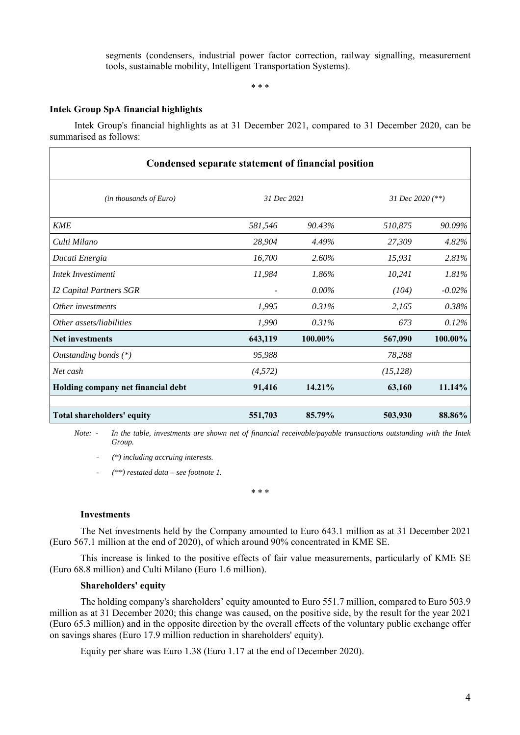segments (condensers, industrial power factor correction, railway signalling, measurement tools, sustainable mobility, Intelligent Transportation Systems).

\* \* \*

#### **Intek Group SpA financial highlights**

Intek Group's financial highlights as at 31 December 2021, compared to 31 December 2020, can be summarised as follows:

| Condensed separate statement of financial position |             |          |                    |           |  |
|----------------------------------------------------|-------------|----------|--------------------|-----------|--|
| (in thousands of Euro)                             | 31 Dec 2021 |          | 31 Dec 2020 $(**)$ |           |  |
| <b>KME</b>                                         | 581,546     | 90.43%   | 510,875            | 90.09%    |  |
| Culti Milano                                       | 28,904      | 4.49%    | 27,309             | 4.82%     |  |
| Ducati Energia                                     | 16,700      | 2.60%    | 15,931             | 2.81%     |  |
| Intek Investimenti                                 | 11,984      | 1.86%    | 10,241             | 1.81%     |  |
| <b>I2 Capital Partners SGR</b>                     |             | $0.00\%$ | (104)              | $-0.02\%$ |  |
| Other investments                                  | 1,995       | 0.31%    | 2,165              | 0.38%     |  |
| Other assets/liabilities                           | 1,990       | 0.31%    | 673                | 0.12%     |  |
| <b>Net investments</b>                             | 643,119     | 100.00%  | 567,090            | 100.00%   |  |
| Outstanding bonds $(*)$                            | 95,988      |          | 78,288             |           |  |
| Net cash                                           | (4,572)     |          | (15, 128)          |           |  |
| Holding company net financial debt                 | 91,416      | 14.21%   | 63,160             | 11.14%    |  |
| Total shareholders' equity                         | 551,703     | 85.79%   | 503,930            | 88.86%    |  |

*Note: - In the table, investments are shown net of financial receivable/payable transactions outstanding with the Intek Group.* 

- *(\*) including accruing interests.*

- *(\*\*) restated data – see footnote 1.*

\* \* \*

#### **Investments**

The Net investments held by the Company amounted to Euro 643.1 million as at 31 December 2021 (Euro 567.1 million at the end of 2020), of which around 90% concentrated in KME SE.

This increase is linked to the positive effects of fair value measurements, particularly of KME SE (Euro 68.8 million) and Culti Milano (Euro 1.6 million).

#### **Shareholders' equity**

The holding company's shareholders' equity amounted to Euro 551.7 million, compared to Euro 503.9 million as at 31 December 2020; this change was caused, on the positive side, by the result for the year 2021 (Euro 65.3 million) and in the opposite direction by the overall effects of the voluntary public exchange offer on savings shares (Euro 17.9 million reduction in shareholders' equity).

Equity per share was Euro 1.38 (Euro 1.17 at the end of December 2020).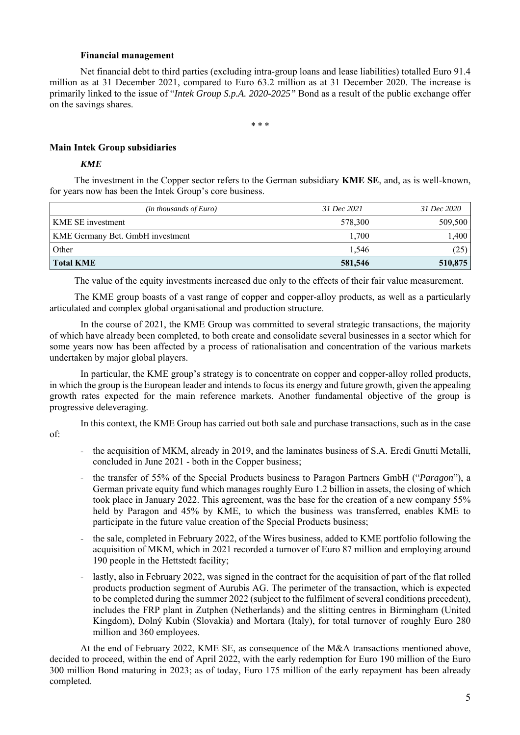#### **Financial management**

Net financial debt to third parties (excluding intra-group loans and lease liabilities) totalled Euro 91.4 million as at 31 December 2021, compared to Euro 63.2 million as at 31 December 2020. The increase is primarily linked to the issue of "*Intek Group S.p.A. 2020-2025"* Bond as a result of the public exchange offer on the savings shares.

\* \* \*

#### **Main Intek Group subsidiaries**

#### *KME*

The investment in the Copper sector refers to the German subsidiary **KME SE**, and, as is well-known, for years now has been the Intek Group's core business.

| $(in$ thousands of Euro)                | 31 Dec 2021 | 31 Dec 2020 |
|-----------------------------------------|-------------|-------------|
| <b>KME SE</b> investment                | 578,300     | 509,500     |
| <b>KME Germany Bet. GmbH</b> investment | 1,700       | 1.400       |
| Other                                   | 1.546       | (25)        |
| Total KME                               | 581,546     | 510,875     |

The value of the equity investments increased due only to the effects of their fair value measurement.

The KME group boasts of a vast range of copper and copper-alloy products, as well as a particularly articulated and complex global organisational and production structure.

In the course of 2021, the KME Group was committed to several strategic transactions, the majority of which have already been completed, to both create and consolidate several businesses in a sector which for some years now has been affected by a process of rationalisation and concentration of the various markets undertaken by major global players.

In particular, the KME group's strategy is to concentrate on copper and copper-alloy rolled products, in which the group is the European leader and intends to focus its energy and future growth, given the appealing growth rates expected for the main reference markets. Another fundamental objective of the group is progressive deleveraging.

In this context, the KME Group has carried out both sale and purchase transactions, such as in the case

of:

- the acquisition of MKM, already in 2019, and the laminates business of S.A. Eredi Gnutti Metalli, concluded in June 2021 - both in the Copper business;
- the transfer of 55% of the Special Products business to Paragon Partners GmbH ("*Paragon*"), a German private equity fund which manages roughly Euro 1.2 billion in assets, the closing of which took place in January 2022. This agreement, was the base for the creation of a new company 55% held by Paragon and 45% by KME, to which the business was transferred, enables KME to participate in the future value creation of the Special Products business;
- the sale, completed in February 2022, of the Wires business, added to KME portfolio following the acquisition of MKM, which in 2021 recorded a turnover of Euro 87 million and employing around 190 people in the Hettstedt facility;
- lastly, also in February 2022, was signed in the contract for the acquisition of part of the flat rolled products production segment of Aurubis AG. The perimeter of the transaction, which is expected to be completed during the summer 2022 (subject to the fulfilment of several conditions precedent), includes the FRP plant in Zutphen (Netherlands) and the slitting centres in Birmingham (United Kingdom), Dolný Kubín (Slovakia) and Mortara (Italy), for total turnover of roughly Euro 280 million and 360 employees.

At the end of February 2022, KME SE, as consequence of the M&A transactions mentioned above, decided to proceed, within the end of April 2022, with the early redemption for Euro 190 million of the Euro 300 million Bond maturing in 2023; as of today, Euro 175 million of the early repayment has been already completed.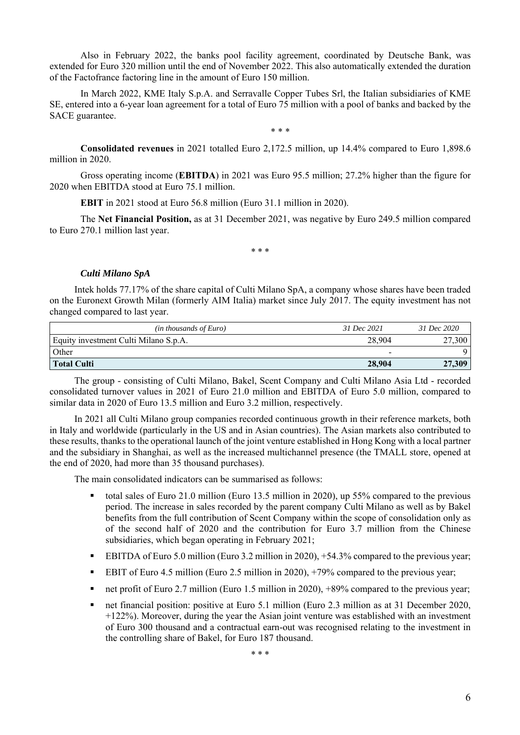Also in February 2022, the banks pool facility agreement, coordinated by Deutsche Bank, was extended for Euro 320 million until the end of November 2022. This also automatically extended the duration of the Factofrance factoring line in the amount of Euro 150 million.

In March 2022, KME Italy S.p.A. and Serravalle Copper Tubes Srl, the Italian subsidiaries of KME SE, entered into a 6-year loan agreement for a total of Euro 75 million with a pool of banks and backed by the SACE guarantee.

\* \* \*

**Consolidated revenues** in 2021 totalled Euro 2,172.5 million, up 14.4% compared to Euro 1,898.6 million in 2020.

Gross operating income (**EBITDA**) in 2021 was Euro 95.5 million; 27.2% higher than the figure for 2020 when EBITDA stood at Euro 75.1 million.

**EBIT** in 2021 stood at Euro 56.8 million (Euro 31.1 million in 2020).

The **Net Financial Position,** as at 31 December 2021, was negative by Euro 249.5 million compared to Euro 270.1 million last year.

\* \* \*

#### *Culti Milano SpA*

Intek holds 77.17% of the share capital of Culti Milano SpA, a company whose shares have been traded on the Euronext Growth Milan (formerly AIM Italia) market since July 2017. The equity investment has not changed compared to last year.

| $(in$ thousands of Euro)              | 31 Dec 2021              | 31 Dec 2020 |
|---------------------------------------|--------------------------|-------------|
| Equity investment Culti Milano S.p.A. | 28,904                   | 27,300      |
| Other                                 | $\overline{\phantom{0}}$ |             |
| Total Culti                           | 28,904                   | 27,309      |

The group - consisting of Culti Milano, Bakel, Scent Company and Culti Milano Asia Ltd - recorded consolidated turnover values in 2021 of Euro 21.0 million and EBITDA of Euro 5.0 million, compared to similar data in 2020 of Euro 13.5 million and Euro 3.2 million, respectively.

In 2021 all Culti Milano group companies recorded continuous growth in their reference markets, both in Italy and worldwide (particularly in the US and in Asian countries). The Asian markets also contributed to these results, thanks to the operational launch of the joint venture established in Hong Kong with a local partner and the subsidiary in Shanghai, as well as the increased multichannel presence (the TMALL store, opened at the end of 2020, had more than 35 thousand purchases).

The main consolidated indicators can be summarised as follows:

- total sales of Euro 21.0 million (Euro 13.5 million in 2020), up 55% compared to the previous period. The increase in sales recorded by the parent company Culti Milano as well as by Bakel benefits from the full contribution of Scent Company within the scope of consolidation only as of the second half of 2020 and the contribution for Euro 3.7 million from the Chinese subsidiaries, which began operating in February 2021;
- EBITDA of Euro 5.0 million (Euro 3.2 million in 2020), +54.3% compared to the previous year;
- **EBIT** of Euro 4.5 million (Euro 2.5 million in 2020), +79% compared to the previous year;
- net profit of Euro 2.7 million (Euro 1.5 million in 2020),  $+89%$  compared to the previous year;
- net financial position: positive at Euro 5.1 million (Euro 2.3 million as at 31 December 2020, +122%). Moreover, during the year the Asian joint venture was established with an investment of Euro 300 thousand and a contractual earn-out was recognised relating to the investment in the controlling share of Bakel, for Euro 187 thousand.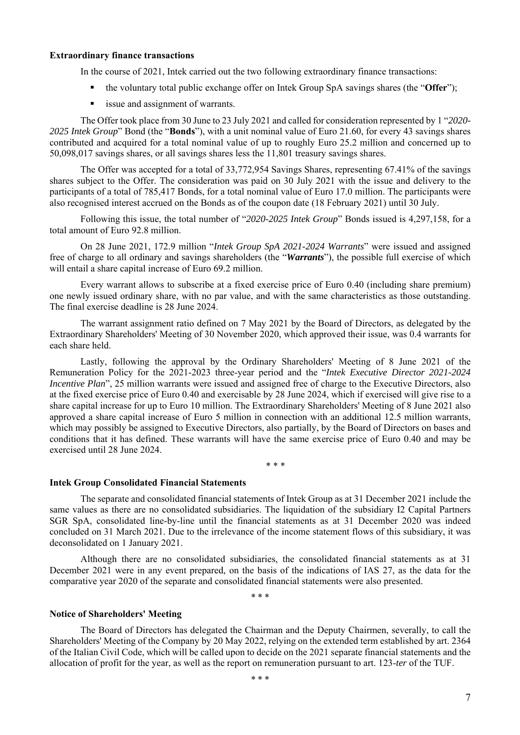#### **Extraordinary finance transactions**

In the course of 2021, Intek carried out the two following extraordinary finance transactions:

- the voluntary total public exchange offer on Intek Group SpA savings shares (the "**Offer**");
- issue and assignment of warrants.

The Offer took place from 30 June to 23 July 2021 and called for consideration represented by 1 "*2020- 2025 Intek Group*" Bond (the "**Bonds**"), with a unit nominal value of Euro 21.60, for every 43 savings shares contributed and acquired for a total nominal value of up to roughly Euro 25.2 million and concerned up to 50,098,017 savings shares, or all savings shares less the 11,801 treasury savings shares.

The Offer was accepted for a total of 33,772,954 Savings Shares, representing 67.41% of the savings shares subject to the Offer. The consideration was paid on 30 July 2021 with the issue and delivery to the participants of a total of 785,417 Bonds, for a total nominal value of Euro 17.0 million. The participants were also recognised interest accrued on the Bonds as of the coupon date (18 February 2021) until 30 July.

Following this issue, the total number of "*2020-2025 Intek Group*" Bonds issued is 4,297,158, for a total amount of Euro 92.8 million.

On 28 June 2021, 172.9 million "*Intek Group SpA 2021-2024 Warrants*" were issued and assigned free of charge to all ordinary and savings shareholders (the "*Warrants*"), the possible full exercise of which will entail a share capital increase of Euro 69.2 million.

Every warrant allows to subscribe at a fixed exercise price of Euro 0.40 (including share premium) one newly issued ordinary share, with no par value, and with the same characteristics as those outstanding. The final exercise deadline is 28 June 2024.

The warrant assignment ratio defined on 7 May 2021 by the Board of Directors, as delegated by the Extraordinary Shareholders' Meeting of 30 November 2020, which approved their issue, was 0.4 warrants for each share held.

Lastly, following the approval by the Ordinary Shareholders' Meeting of 8 June 2021 of the Remuneration Policy for the 2021-2023 three-year period and the "*Intek Executive Director 2021-2024 Incentive Plan*", 25 million warrants were issued and assigned free of charge to the Executive Directors, also at the fixed exercise price of Euro 0.40 and exercisable by 28 June 2024, which if exercised will give rise to a share capital increase for up to Euro 10 million. The Extraordinary Shareholders' Meeting of 8 June 2021 also approved a share capital increase of Euro 5 million in connection with an additional 12.5 million warrants, which may possibly be assigned to Executive Directors, also partially, by the Board of Directors on bases and conditions that it has defined. These warrants will have the same exercise price of Euro 0.40 and may be exercised until 28 June 2024.

\* \* \*

#### **Intek Group Consolidated Financial Statements**

The separate and consolidated financial statements of Intek Group as at 31 December 2021 include the same values as there are no consolidated subsidiaries. The liquidation of the subsidiary I2 Capital Partners SGR SpA, consolidated line-by-line until the financial statements as at 31 December 2020 was indeed concluded on 31 March 2021. Due to the irrelevance of the income statement flows of this subsidiary, it was deconsolidated on 1 January 2021.

Although there are no consolidated subsidiaries, the consolidated financial statements as at 31 December 2021 were in any event prepared, on the basis of the indications of IAS 27, as the data for the comparative year 2020 of the separate and consolidated financial statements were also presented.

\* \* \*

#### **Notice of Shareholders' Meeting**

The Board of Directors has delegated the Chairman and the Deputy Chairmen, severally, to call the Shareholders' Meeting of the Company by 20 May 2022, relying on the extended term established by art. 2364 of the Italian Civil Code, which will be called upon to decide on the 2021 separate financial statements and the allocation of profit for the year, as well as the report on remuneration pursuant to art. 123-*ter* of the TUF.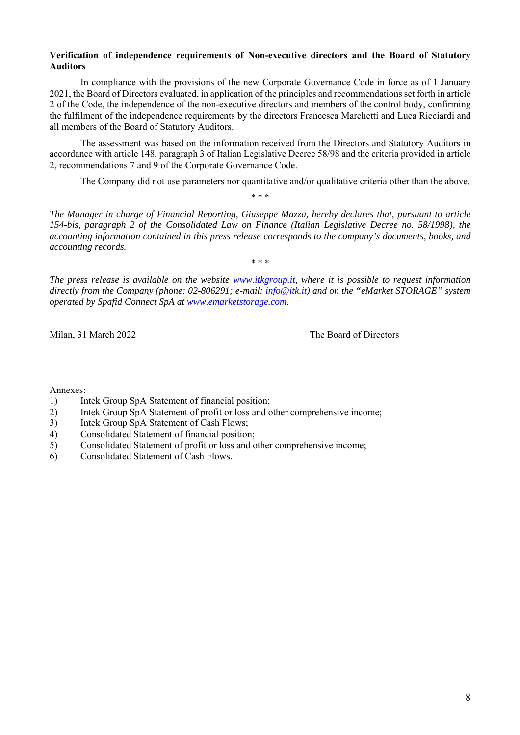#### **Verification of independence requirements of Non-executive directors and the Board of Statutory Auditors**

In compliance with the provisions of the new Corporate Governance Code in force as of 1 January 2021, the Board of Directors evaluated, in application of the principles and recommendations set forth in article 2 of the Code, the independence of the non-executive directors and members of the control body, confirming the fulfilment of the independence requirements by the directors Francesca Marchetti and Luca Ricciardi and all members of the Board of Statutory Auditors.

The assessment was based on the information received from the Directors and Statutory Auditors in accordance with article 148, paragraph 3 of Italian Legislative Decree 58/98 and the criteria provided in article 2, recommendations 7 and 9 of the Corporate Governance Code.

The Company did not use parameters nor quantitative and/or qualitative criteria other than the above.

*The Manager in charge of Financial Reporting, Giuseppe Mazza, hereby declares that, pursuant to article 154-bis, paragraph 2 of the Consolidated Law on Finance (Italian Legislative Decree no. 58/1998), the accounting information contained in this press release corresponds to the company's documents, books, and accounting records.* 

\* \* \*

\* \* \*

*The press release is available on the website www.itkgroup.it, where it is possible to request information directly from the Company (phone: 02-806291; e-mail: info@itk.it) and on the "eMarket STORAGE" system operated by Spafid Connect SpA at www.emarketstorage.com.* 

Milan, 31 March 2022 The Board of Directors

Annexes:

- 1) Intek Group SpA Statement of financial position;
- 2) Intek Group SpA Statement of profit or loss and other comprehensive income;
- 3) Intek Group SpA Statement of Cash Flows;
- 4) Consolidated Statement of financial position;
- 5) Consolidated Statement of profit or loss and other comprehensive income;
- 6) Consolidated Statement of Cash Flows.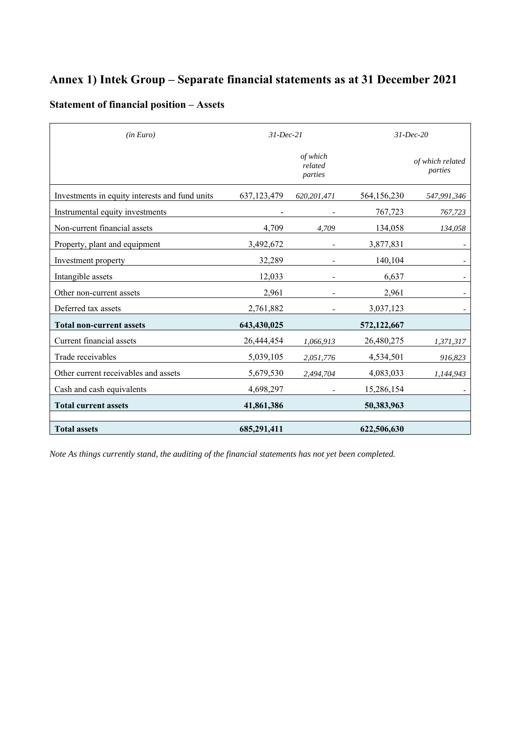## **Annex 1) Intek Group – Separate financial statements as at 31 December 2021**

### **Statement of financial position – Assets**

| (in Euro)                                      | $31$ -Dec-21  |                                |             | $31$ -Dec-20                |
|------------------------------------------------|---------------|--------------------------------|-------------|-----------------------------|
|                                                |               | of which<br>related<br>parties |             | of which related<br>parties |
| Investments in equity interests and fund units | 637, 123, 479 | 620,201,471                    | 564,156,230 | 547,991,346                 |
| Instrumental equity investments                |               |                                | 767,723     | 767,723                     |
| Non-current financial assets                   | 4,709         | 4,709                          | 134,058     | 134,058                     |
| Property, plant and equipment                  | 3,492,672     |                                | 3,877,831   |                             |
| Investment property                            | 32,289        |                                | 140,104     |                             |
| Intangible assets                              | 12,033        |                                | 6,637       |                             |
| Other non-current assets                       | 2,961         |                                | 2,961       |                             |
| Deferred tax assets                            | 2,761,882     |                                | 3,037,123   |                             |
| <b>Total non-current assets</b>                | 643,430,025   |                                | 572,122,667 |                             |
| Current financial assets                       | 26,444,454    | 1,066,913                      | 26,480,275  | 1,371,317                   |
| Trade receivables                              | 5,039,105     | 2,051,776                      | 4,534,501   | 916,823                     |
| Other current receivables and assets           | 5,679,530     | 2,494,704                      | 4,083,033   | 1,144,943                   |
| Cash and cash equivalents                      | 4,698,297     |                                | 15,286,154  |                             |
| <b>Total current assets</b>                    | 41,861,386    |                                | 50,383,963  |                             |
| <b>Total assets</b>                            | 685,291,411   |                                | 622,506,630 |                             |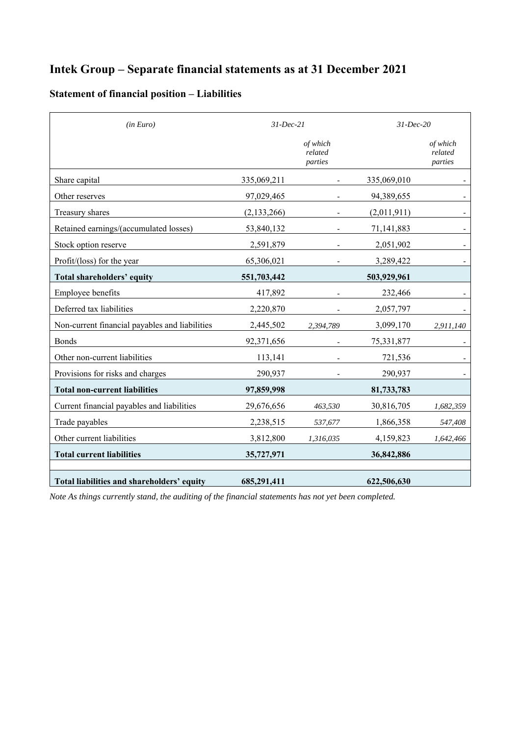## **Intek Group – Separate financial statements as at 31 December 2021**

### **Statement of financial position – Liabilities**

| (in Euro)                                      | $31$ -Dec-21  |                                | $31$ -Dec-20 |                                |
|------------------------------------------------|---------------|--------------------------------|--------------|--------------------------------|
|                                                |               | of which<br>related<br>parties |              | of which<br>related<br>parties |
| Share capital                                  | 335,069,211   |                                | 335,069,010  |                                |
| Other reserves                                 | 97,029,465    |                                | 94,389,655   |                                |
| Treasury shares                                | (2, 133, 266) |                                | (2,011,911)  |                                |
| Retained earnings/(accumulated losses)         | 53,840,132    |                                | 71,141,883   |                                |
| Stock option reserve                           | 2,591,879     |                                | 2,051,902    |                                |
| Profit/(loss) for the year                     | 65,306,021    |                                | 3,289,422    |                                |
| Total shareholders' equity                     | 551,703,442   |                                | 503,929,961  |                                |
| Employee benefits                              | 417,892       |                                | 232,466      |                                |
| Deferred tax liabilities                       | 2,220,870     |                                | 2,057,797    |                                |
| Non-current financial payables and liabilities | 2,445,502     | 2,394,789                      | 3,099,170    | 2,911,140                      |
| <b>Bonds</b>                                   | 92,371,656    |                                | 75,331,877   |                                |
| Other non-current liabilities                  | 113,141       |                                | 721,536      |                                |
| Provisions for risks and charges               | 290,937       |                                | 290,937      |                                |
| <b>Total non-current liabilities</b>           | 97,859,998    |                                | 81,733,783   |                                |
| Current financial payables and liabilities     | 29,676,656    | 463,530                        | 30,816,705   | 1,682,359                      |
| Trade payables                                 | 2,238,515     | 537,677                        | 1,866,358    | 547,408                        |
| Other current liabilities                      | 3,812,800     | 1,316,035                      | 4,159,823    | 1,642,466                      |
| <b>Total current liabilities</b>               | 35,727,971    |                                | 36,842,886   |                                |
|                                                |               |                                |              |                                |
| Total liabilities and shareholders' equity     | 685,291,411   |                                | 622,506,630  |                                |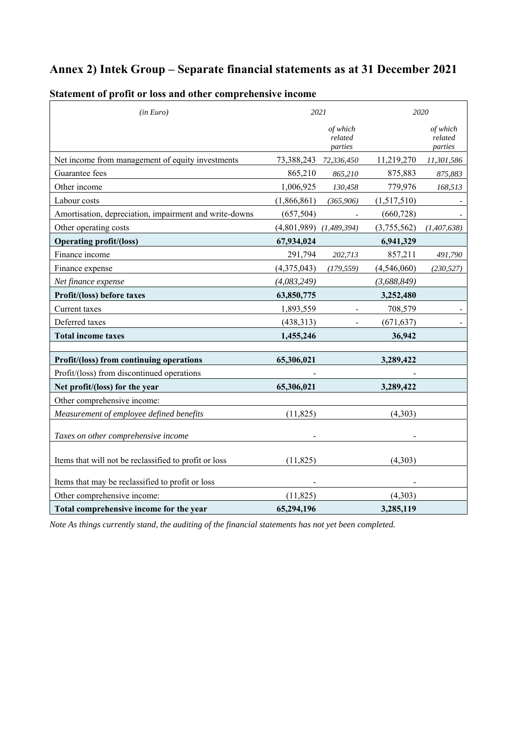## **Annex 2) Intek Group – Separate financial statements as at 31 December 2021**

| (in Euro)                                              | 2021        |                                |             | 2020                           |
|--------------------------------------------------------|-------------|--------------------------------|-------------|--------------------------------|
|                                                        |             | of which<br>related<br>parties |             | of which<br>related<br>parties |
| Net income from management of equity investments       | 73,388,243  | 72,336,450                     | 11,219,270  | 11,301,586                     |
| Guarantee fees                                         | 865,210     | 865,210                        | 875,883     | 875,883                        |
| Other income                                           | 1,006,925   | 130,458                        | 779,976     | 168,513                        |
| Labour costs                                           | (1,866,861) | (365,906)                      | (1,517,510) |                                |
| Amortisation, depreciation, impairment and write-downs | (657, 504)  |                                | (660, 728)  |                                |
| Other operating costs                                  | (4,801,989) | (1,489,394)                    | (3,755,562) | (1, 407, 638)                  |
| <b>Operating profit/(loss)</b>                         | 67,934,024  |                                | 6,941,329   |                                |
| Finance income                                         | 291,794     | 202,713                        | 857,211     | 491,790                        |
| Finance expense                                        | (4,375,043) | (179, 559)                     | (4,546,060) | (230, 527)                     |
| Net finance expense                                    | (4,083,249) |                                | (3,688,849) |                                |
| Profit/(loss) before taxes                             | 63,850,775  |                                | 3,252,480   |                                |
| Current taxes                                          | 1,893,559   |                                | 708,579     |                                |
| Deferred taxes                                         | (438, 313)  |                                | (671, 637)  |                                |
| <b>Total income taxes</b>                              | 1,455,246   |                                | 36,942      |                                |
|                                                        |             |                                |             |                                |
| Profit/(loss) from continuing operations               | 65,306,021  |                                | 3,289,422   |                                |
| Profit/(loss) from discontinued operations             |             |                                |             |                                |
| Net profit/(loss) for the year                         | 65,306,021  |                                | 3,289,422   |                                |
| Other comprehensive income:                            |             |                                |             |                                |
| Measurement of employee defined benefits               | (11, 825)   |                                | (4,303)     |                                |
| Taxes on other comprehensive income                    |             |                                |             |                                |
| Items that will not be reclassified to profit or loss  | (11, 825)   |                                | (4,303)     |                                |
| Items that may be reclassified to profit or loss       |             |                                |             |                                |
| Other comprehensive income:                            | (11, 825)   |                                | (4,303)     |                                |
| Total comprehensive income for the year                | 65,294,196  |                                | 3,285,119   |                                |

### **Statement of profit or loss and other comprehensive income**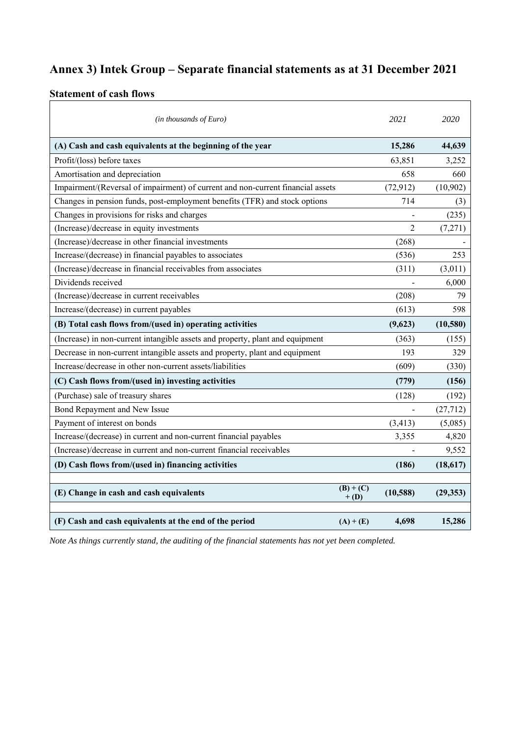## **Annex 3) Intek Group – Separate financial statements as at 31 December 2021**

# **Statement of cash flows**

| $(in$ thousands of Euro)                                                        |                      | 2021           | 2020      |
|---------------------------------------------------------------------------------|----------------------|----------------|-----------|
| (A) Cash and cash equivalents at the beginning of the year                      |                      | 15,286         | 44,639    |
| Profit/(loss) before taxes                                                      |                      | 63,851         | 3,252     |
| Amortisation and depreciation                                                   |                      | 658            | 660       |
| Impairment/(Reversal of impairment) of current and non-current financial assets |                      | (72, 912)      | (10, 902) |
| Changes in pension funds, post-employment benefits (TFR) and stock options      |                      | 714            | (3)       |
| Changes in provisions for risks and charges                                     |                      |                | (235)     |
| (Increase)/decrease in equity investments                                       |                      | $\overline{2}$ | (7,271)   |
| (Increase)/decrease in other financial investments                              |                      | (268)          |           |
| Increase/(decrease) in financial payables to associates                         |                      | (536)          | 253       |
| (Increase)/decrease in financial receivables from associates                    |                      | (311)          | (3,011)   |
| Dividends received                                                              |                      |                | 6,000     |
| (Increase)/decrease in current receivables                                      |                      | (208)          | 79        |
| Increase/(decrease) in current payables                                         |                      | (613)          | 598       |
| (B) Total cash flows from/(used in) operating activities                        |                      | (9,623)        | (10,580)  |
| (Increase) in non-current intangible assets and property, plant and equipment   |                      | (363)          | (155)     |
| Decrease in non-current intangible assets and property, plant and equipment     |                      | 193            | 329       |
| Increase/decrease in other non-current assets/liabilities                       |                      | (609)          | (330)     |
| (C) Cash flows from/(used in) investing activities                              |                      | (779)          | (156)     |
| (Purchase) sale of treasury shares                                              |                      | (128)          | (192)     |
| Bond Repayment and New Issue                                                    |                      |                | (27, 712) |
| Payment of interest on bonds                                                    |                      | (3, 413)       | (5,085)   |
| Increase/(decrease) in current and non-current financial payables               |                      | 3,355          | 4,820     |
| (Increase)/decrease in current and non-current financial receivables            |                      |                | 9,552     |
| (D) Cash flows from/(used in) financing activities                              |                      | (186)          | (18,617)  |
| (E) Change in cash and cash equivalents                                         | $(B)+(C)$<br>$+$ (D) | (10, 588)      | (29, 353) |
| (F) Cash and cash equivalents at the end of the period                          | $(A) + (E)$          | 4,698          | 15,286    |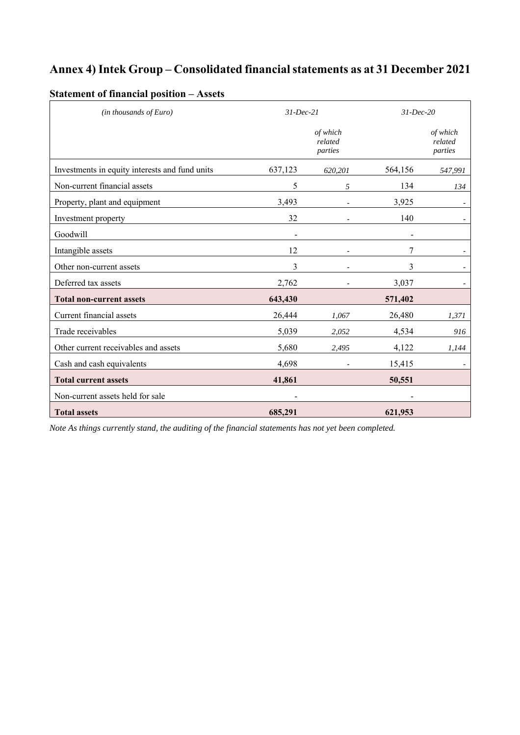## **Annex 4) Intek Group – Consolidated financial statements as at 31 December 2021**

| $(in$ thousands of Euro)                       | $31$ -Dec-21 |                                | $31$ -Dec-20 |                                |
|------------------------------------------------|--------------|--------------------------------|--------------|--------------------------------|
|                                                |              | of which<br>related<br>parties |              | of which<br>related<br>parties |
| Investments in equity interests and fund units | 637,123      | 620,201                        | 564,156      | 547,991                        |
| Non-current financial assets                   | 5            | 5                              | 134          | 134                            |
| Property, plant and equipment                  | 3,493        |                                | 3,925        |                                |
| Investment property                            | 32           |                                | 140          |                                |
| Goodwill                                       |              |                                |              |                                |
| Intangible assets                              | 12           |                                | 7            |                                |
| Other non-current assets                       | 3            |                                | 3            |                                |
| Deferred tax assets                            | 2,762        |                                | 3,037        |                                |
| <b>Total non-current assets</b>                | 643,430      |                                | 571,402      |                                |
| Current financial assets                       | 26,444       | 1,067                          | 26,480       | 1,371                          |
| Trade receivables                              | 5,039        | 2,052                          | 4,534        | 916                            |
| Other current receivables and assets           | 5,680        | 2,495                          | 4,122        | 1,144                          |
| Cash and cash equivalents                      | 4,698        |                                | 15,415       |                                |
| <b>Total current assets</b>                    | 41,861       |                                | 50,551       |                                |
| Non-current assets held for sale               |              |                                |              |                                |
| <b>Total assets</b>                            | 685,291      |                                | 621,953      |                                |

### **Statement of financial position – Assets**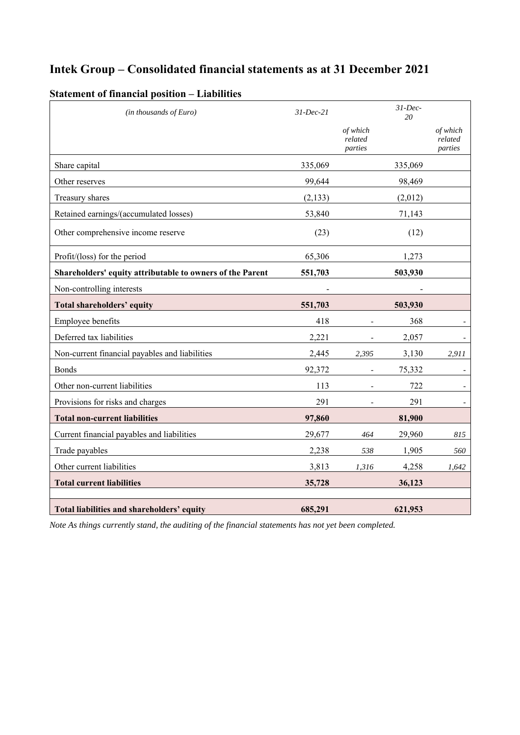## **Intek Group – Consolidated financial statements as at 31 December 2021**

| (in thousands of Euro)                                    | $31$ -Dec-21 |                                | $31$ -Dec-<br>20 |                                |
|-----------------------------------------------------------|--------------|--------------------------------|------------------|--------------------------------|
|                                                           |              | of which<br>related<br>parties |                  | of which<br>related<br>parties |
| Share capital                                             | 335,069      |                                | 335,069          |                                |
| Other reserves                                            | 99,644       |                                | 98,469           |                                |
| Treasury shares                                           | (2, 133)     |                                | (2,012)          |                                |
| Retained earnings/(accumulated losses)                    | 53,840       |                                | 71,143           |                                |
| Other comprehensive income reserve                        | (23)         |                                | (12)             |                                |
| Profit/(loss) for the period                              | 65,306       |                                | 1,273            |                                |
| Shareholders' equity attributable to owners of the Parent | 551,703      |                                | 503,930          |                                |
| Non-controlling interests                                 |              |                                |                  |                                |
| <b>Total shareholders' equity</b>                         | 551,703      |                                | 503,930          |                                |
| Employee benefits                                         | 418          |                                | 368              |                                |
| Deferred tax liabilities                                  | 2,221        |                                | 2,057            |                                |
| Non-current financial payables and liabilities            | 2,445        | 2,395                          | 3,130            | 2,911                          |
| <b>Bonds</b>                                              | 92,372       |                                | 75,332           |                                |
| Other non-current liabilities                             | 113          |                                | 722              |                                |
| Provisions for risks and charges                          | 291          |                                | 291              |                                |
| <b>Total non-current liabilities</b>                      | 97,860       |                                | 81,900           |                                |
| Current financial payables and liabilities                | 29,677       | 464                            | 29,960           | 815                            |
| Trade payables                                            | 2,238        | 538                            | 1,905            | 560                            |
| Other current liabilities                                 | 3,813        | 1,316                          | 4,258            | 1,642                          |
| <b>Total current liabilities</b>                          | 35,728       |                                | 36,123           |                                |
| Total liabilities and shareholders' equity                | 685,291      |                                | 621,953          |                                |

### **Statement of financial position – Liabilities**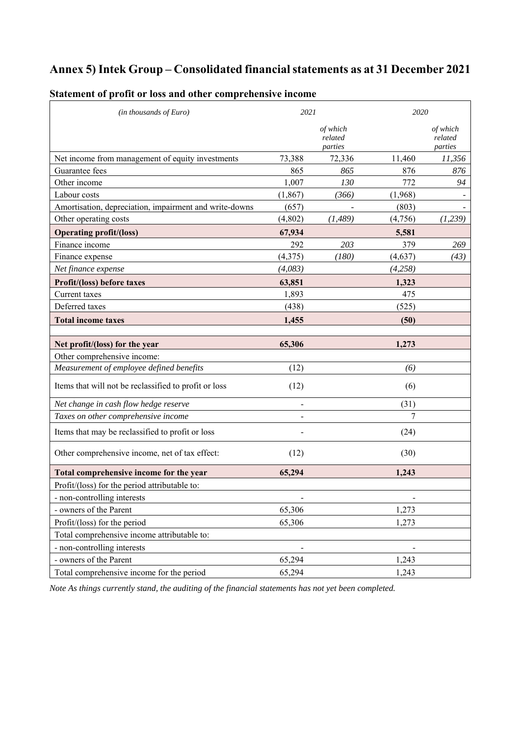## **Annex 5) Intek Group – Consolidated financial statements as at 31 December 2021**

| $(in$ thousands of Euro)                               | 2021     |                                | 2020     |                                |
|--------------------------------------------------------|----------|--------------------------------|----------|--------------------------------|
|                                                        |          | of which<br>related<br>parties |          | of which<br>related<br>parties |
| Net income from management of equity investments       | 73,388   | 72,336                         | 11,460   | 11,356                         |
| Guarantee fees                                         | 865      | 865                            | 876      | 876                            |
| Other income                                           | 1,007    | 130                            | 772      | 94                             |
| Labour costs                                           | (1, 867) | (366)                          | (1,968)  |                                |
| Amortisation, depreciation, impairment and write-downs | (657)    |                                | (803)    |                                |
| Other operating costs                                  | (4,802)  | (1, 489)                       | (4,756)  | (1,239)                        |
| <b>Operating profit/(loss)</b>                         | 67,934   |                                | 5,581    |                                |
| Finance income                                         | 292      | 203                            | 379      | 269                            |
| Finance expense                                        | (4,375)  | (180)                          | (4, 637) | (43)                           |
| Net finance expense                                    | (4,083)  |                                | (4,258)  |                                |
| Profit/(loss) before taxes                             | 63,851   |                                | 1,323    |                                |
| Current taxes                                          | 1,893    |                                | 475      |                                |
| Deferred taxes                                         | (438)    |                                | (525)    |                                |
| <b>Total income taxes</b>                              | 1,455    |                                | (50)     |                                |
| Net profit/(loss) for the year                         | 65,306   |                                | 1,273    |                                |
| Other comprehensive income:                            |          |                                |          |                                |
| Measurement of employee defined benefits               | (12)     |                                | (6)      |                                |
| Items that will not be reclassified to profit or loss  | (12)     |                                | (6)      |                                |
| Net change in cash flow hedge reserve                  |          |                                | (31)     |                                |
| Taxes on other comprehensive income                    |          |                                | 7        |                                |
| Items that may be reclassified to profit or loss       |          |                                | (24)     |                                |
| Other comprehensive income, net of tax effect:         | (12)     |                                | (30)     |                                |
| Total comprehensive income for the year                | 65,294   |                                | 1,243    |                                |
| Profit/(loss) for the period attributable to:          |          |                                |          |                                |
| - non-controlling interests                            |          |                                |          |                                |
| - owners of the Parent                                 | 65,306   |                                | 1,273    |                                |
| Profit/(loss) for the period                           | 65,306   |                                | 1,273    |                                |
| Total comprehensive income attributable to:            |          |                                |          |                                |
| - non-controlling interests                            |          |                                |          |                                |
| - owners of the Parent                                 | 65,294   |                                | 1,243    |                                |
| Total comprehensive income for the period              | 65,294   |                                | 1,243    |                                |

### **Statement of profit or loss and other comprehensive income**